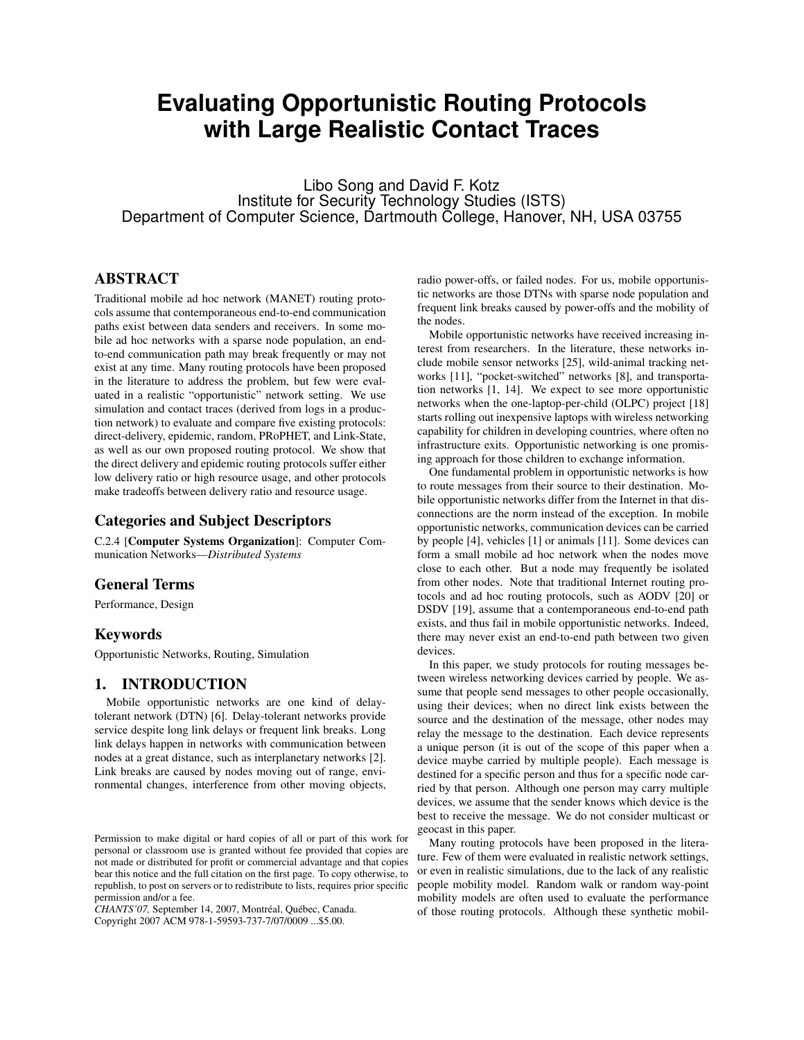# **Evaluating Opportunistic Routing Protocols with Large Realistic Contact Traces**

Libo Song and David F. Kotz Institute for Security Technology Studies (ISTS) Department of Computer Science, Dartmouth College, Hanover, NH, USA 03755

# ABSTRACT

Traditional mobile ad hoc network (MANET) routing protocols assume that contemporaneous end-to-end communication paths exist between data senders and receivers. In some mobile ad hoc networks with a sparse node population, an endto-end communication path may break frequently or may not exist at any time. Many routing protocols have been proposed in the literature to address the problem, but few were evaluated in a realistic "opportunistic" network setting. We use simulation and contact traces (derived from logs in a production network) to evaluate and compare five existing protocols: direct-delivery, epidemic, random, PRoPHET, and Link-State, as well as our own proposed routing protocol. We show that the direct delivery and epidemic routing protocols suffer either low delivery ratio or high resource usage, and other protocols make tradeoffs between delivery ratio and resource usage.

## Categories and Subject Descriptors

C.2.4 [Computer Systems Organization]: Computer Communication Networks—*Distributed Systems*

## General Terms

Performance, Design

## Keywords

Opportunistic Networks, Routing, Simulation

## 1. INTRODUCTION

Mobile opportunistic networks are one kind of delaytolerant network (DTN) [\[6\]](#page-7-0). Delay-tolerant networks provide service despite long link delays or frequent link breaks. Long link delays happen in networks with communication between nodes at a great distance, such as interplanetary networks [\[2\]](#page-7-1). Link breaks are caused by nodes moving out of range, environmental changes, interference from other moving objects,

*CHANTS'07,* September 14, 2007, Montréal, Québec, Canada. Copyright 2007 ACM 978-1-59593-737-7/07/0009 ...\$5.00.

radio power-offs, or failed nodes. For us, mobile opportunistic networks are those DTNs with sparse node population and frequent link breaks caused by power-offs and the mobility of the nodes.

Mobile opportunistic networks have received increasing interest from researchers. In the literature, these networks include mobile sensor networks [\[25\]](#page-7-2), wild-animal tracking networks [\[11\]](#page-7-3), "pocket-switched" networks [\[8\]](#page-7-4), and transportation networks [\[1,](#page-7-5) [14\]](#page-7-6). We expect to see more opportunistic networks when the one-laptop-per-child (OLPC) project [\[18\]](#page-7-7) starts rolling out inexpensive laptops with wireless networking capability for children in developing countries, where often no infrastructure exits. Opportunistic networking is one promising approach for those children to exchange information.

One fundamental problem in opportunistic networks is how to route messages from their source to their destination. Mobile opportunistic networks differ from the Internet in that disconnections are the norm instead of the exception. In mobile opportunistic networks, communication devices can be carried by people [\[4\]](#page-7-8), vehicles [\[1\]](#page-7-5) or animals [\[11\]](#page-7-3). Some devices can form a small mobile ad hoc network when the nodes move close to each other. But a node may frequently be isolated from other nodes. Note that traditional Internet routing protocols and ad hoc routing protocols, such as AODV [\[20\]](#page-7-9) or DSDV [\[19\]](#page-7-10), assume that a contemporaneous end-to-end path exists, and thus fail in mobile opportunistic networks. Indeed, there may never exist an end-to-end path between two given devices.

In this paper, we study protocols for routing messages between wireless networking devices carried by people. We assume that people send messages to other people occasionally, using their devices; when no direct link exists between the source and the destination of the message, other nodes may relay the message to the destination. Each device represents a unique person (it is out of the scope of this paper when a device maybe carried by multiple people). Each message is destined for a specific person and thus for a specific node carried by that person. Although one person may carry multiple devices, we assume that the sender knows which device is the best to receive the message. We do not consider multicast or geocast in this paper.

Many routing protocols have been proposed in the literature. Few of them were evaluated in realistic network settings, or even in realistic simulations, due to the lack of any realistic people mobility model. Random walk or random way-point mobility models are often used to evaluate the performance of those routing protocols. Although these synthetic mobil-

Permission to make digital or hard copies of all or part of this work for personal or classroom use is granted without fee provided that copies are not made or distributed for profit or commercial advantage and that copies bear this notice and the full citation on the first page. To copy otherwise, to republish, to post on servers or to redistribute to lists, requires prior specific permission and/or a fee.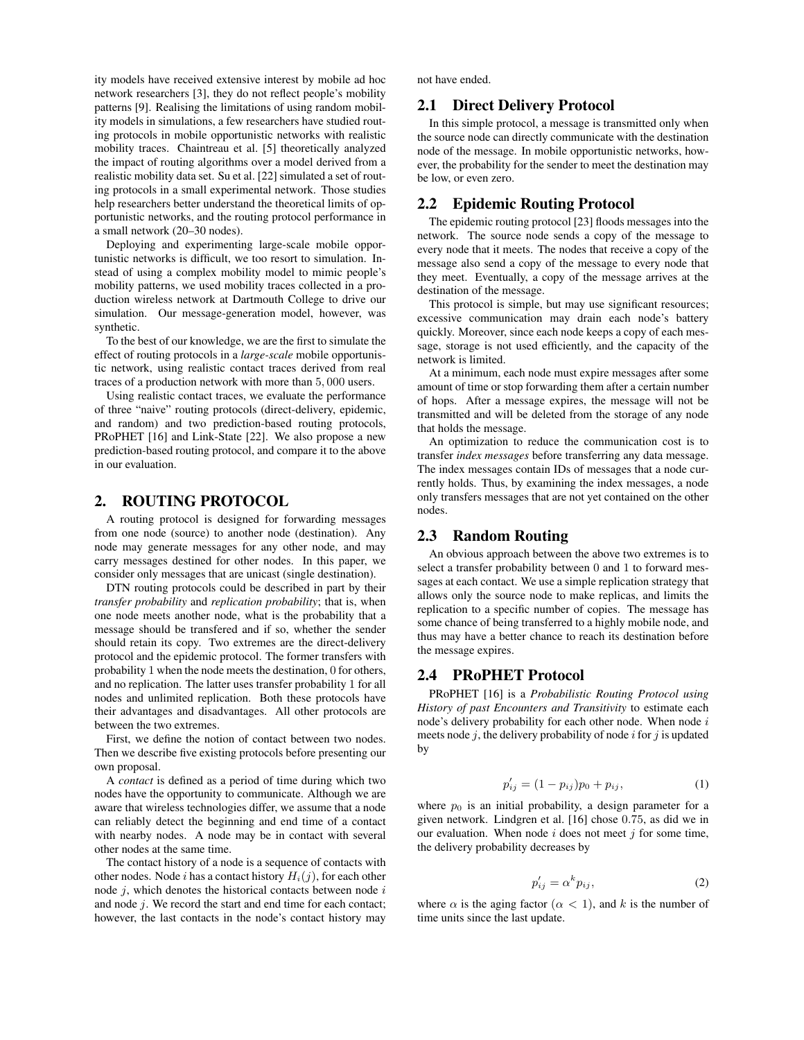ity models have received extensive interest by mobile ad hoc network researchers [\[3\]](#page-7-11), they do not reflect people's mobility patterns [\[9\]](#page-7-12). Realising the limitations of using random mobility models in simulations, a few researchers have studied routing protocols in mobile opportunistic networks with realistic mobility traces. Chaintreau et al. [\[5\]](#page-7-13) theoretically analyzed the impact of routing algorithms over a model derived from a realistic mobility data set. Su et al. [\[22\]](#page-7-14) simulated a set of routing protocols in a small experimental network. Those studies help researchers better understand the theoretical limits of opportunistic networks, and the routing protocol performance in a small network (20–30 nodes).

Deploying and experimenting large-scale mobile opportunistic networks is difficult, we too resort to simulation. Instead of using a complex mobility model to mimic people's mobility patterns, we used mobility traces collected in a production wireless network at Dartmouth College to drive our simulation. Our message-generation model, however, was synthetic.

To the best of our knowledge, we are the first to simulate the effect of routing protocols in a *large-scale* mobile opportunistic network, using realistic contact traces derived from real traces of a production network with more than 5, 000 users.

Using realistic contact traces, we evaluate the performance of three "naive" routing protocols (direct-delivery, epidemic, and random) and two prediction-based routing protocols, PRoPHET [\[16\]](#page-7-15) and Link-State [\[22\]](#page-7-14). We also propose a new prediction-based routing protocol, and compare it to the above in our evaluation.

## 2. ROUTING PROTOCOL

A routing protocol is designed for forwarding messages from one node (source) to another node (destination). Any node may generate messages for any other node, and may carry messages destined for other nodes. In this paper, we consider only messages that are unicast (single destination).

DTN routing protocols could be described in part by their *transfer probability* and *replication probability*; that is, when one node meets another node, what is the probability that a message should be transfered and if so, whether the sender should retain its copy. Two extremes are the direct-delivery protocol and the epidemic protocol. The former transfers with probability 1 when the node meets the destination, 0 for others, and no replication. The latter uses transfer probability 1 for all nodes and unlimited replication. Both these protocols have their advantages and disadvantages. All other protocols are between the two extremes.

First, we define the notion of contact between two nodes. Then we describe five existing protocols before presenting our own proposal.

A *contact* is defined as a period of time during which two nodes have the opportunity to communicate. Although we are aware that wireless technologies differ, we assume that a node can reliably detect the beginning and end time of a contact with nearby nodes. A node may be in contact with several other nodes at the same time.

The contact history of a node is a sequence of contacts with other nodes. Node i has a contact history  $H_i(j)$ , for each other node  $i$ , which denotes the historical contacts between node  $i$ and node  $j$ . We record the start and end time for each contact; however, the last contacts in the node's contact history may not have ended.

#### 2.1 Direct Delivery Protocol

In this simple protocol, a message is transmitted only when the source node can directly communicate with the destination node of the message. In mobile opportunistic networks, however, the probability for the sender to meet the destination may be low, or even zero.

# 2.2 Epidemic Routing Protocol

The epidemic routing protocol [\[23\]](#page-7-16) floods messages into the network. The source node sends a copy of the message to every node that it meets. The nodes that receive a copy of the message also send a copy of the message to every node that they meet. Eventually, a copy of the message arrives at the destination of the message.

This protocol is simple, but may use significant resources; excessive communication may drain each node's battery quickly. Moreover, since each node keeps a copy of each message, storage is not used efficiently, and the capacity of the network is limited.

At a minimum, each node must expire messages after some amount of time or stop forwarding them after a certain number of hops. After a message expires, the message will not be transmitted and will be deleted from the storage of any node that holds the message.

An optimization to reduce the communication cost is to transfer *index messages* before transferring any data message. The index messages contain IDs of messages that a node currently holds. Thus, by examining the index messages, a node only transfers messages that are not yet contained on the other nodes.

## 2.3 Random Routing

An obvious approach between the above two extremes is to select a transfer probability between 0 and 1 to forward messages at each contact. We use a simple replication strategy that allows only the source node to make replicas, and limits the replication to a specific number of copies. The message has some chance of being transferred to a highly mobile node, and thus may have a better chance to reach its destination before the message expires.

## 2.4 PRoPHET Protocol

PRoPHET [\[16\]](#page-7-15) is a *Probabilistic Routing Protocol using History of past Encounters and Transitivity* to estimate each node's delivery probability for each other node. When node  $i$ meets node  $i$ , the delivery probability of node  $i$  for  $j$  is updated by

$$
p'_{ij} = (1 - p_{ij})p_0 + p_{ij}, \t\t(1)
$$

where  $p_0$  is an initial probability, a design parameter for a given network. Lindgren et al. [\[16\]](#page-7-15) chose 0.75, as did we in our evaluation. When node  $i$  does not meet  $j$  for some time, the delivery probability decreases by

$$
p'_{ij} = \alpha^k p_{ij},\tag{2}
$$

where  $\alpha$  is the aging factor  $(\alpha < 1)$ , and k is the number of time units since the last update.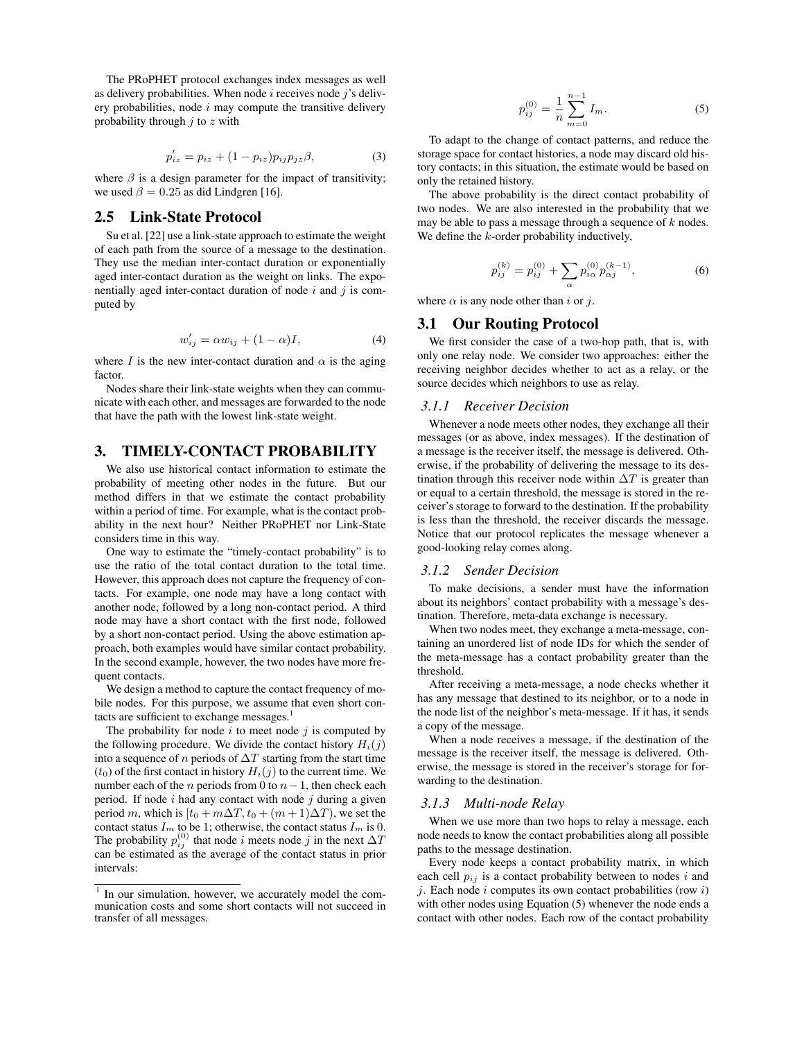The PRoPHET protocol exchanges index messages as well as delivery probabilities. When node  $i$  receives node  $j$ 's delivery probabilities, node  $i$  may compute the transitive delivery probability through  $j$  to  $z$  with

$$
p'_{iz} = p_{iz} + (1 - p_{iz})p_{ij}p_{jz}\beta,
$$
\n(3)

where  $\beta$  is a design parameter for the impact of transitivity; we used  $\beta = 0.25$  as did Lindgren [\[16\]](#page-7-15).

## 2.5 Link-State Protocol

Su et al. [\[22\]](#page-7-14) use a link-state approach to estimate the weight of each path from the source of a message to the destination. They use the median inter-contact duration or exponentially aged inter-contact duration as the weight on links. The exponentially aged inter-contact duration of node  $i$  and  $j$  is computed by

$$
w'_{ij} = \alpha w_{ij} + (1 - \alpha)I, \tag{4}
$$

where I is the new inter-contact duration and  $\alpha$  is the aging factor.

Nodes share their link-state weights when they can communicate with each other, and messages are forwarded to the node that have the path with the lowest link-state weight.

## 3. TIMELY-CONTACT PROBABILITY

We also use historical contact information to estimate the probability of meeting other nodes in the future. But our method differs in that we estimate the contact probability within a period of time. For example, what is the contact probability in the next hour? Neither PRoPHET nor Link-State considers time in this way.

One way to estimate the "timely-contact probability" is to use the ratio of the total contact duration to the total time. However, this approach does not capture the frequency of contacts. For example, one node may have a long contact with another node, followed by a long non-contact period. A third node may have a short contact with the first node, followed by a short non-contact period. Using the above estimation approach, both examples would have similar contact probability. In the second example, however, the two nodes have more frequent contacts.

We design a method to capture the contact frequency of mobile nodes. For this purpose, we assume that even short contacts are sufficient to exchange messages. $<sup>1</sup>$  $<sup>1</sup>$  $<sup>1</sup>$ </sup>

The probability for node  $i$  to meet node  $j$  is computed by the following procedure. We divide the contact history  $H_i(j)$ into a sequence of n periods of  $\Delta T$  starting from the start time  $(t_0)$  of the first contact in history  $H_i(j)$  to the current time. We number each of the *n* periods from 0 to  $n-1$ , then check each period. If node  $i$  had any contact with node  $j$  during a given period m, which is  $[t_0 + m\Delta T, t_0 + (m+1)\Delta T)$ , we set the contact status  $I_m$  to be 1; otherwise, the contact status  $I_m$  is 0. The probability  $p_{ij}^{(0)}$  that node i meets node j in the next  $\Delta T$ can be estimated as the average of the contact status in prior intervals:

<span id="page-2-1"></span>
$$
p_{ij}^{(0)} = \frac{1}{n} \sum_{m=0}^{n-1} I_m.
$$
 (5)

To adapt to the change of contact patterns, and reduce the storage space for contact histories, a node may discard old history contacts; in this situation, the estimate would be based on only the retained history.

The above probability is the direct contact probability of two nodes. We are also interested in the probability that we may be able to pass a message through a sequence of  $k$  nodes. We define the  $k$ -order probability inductively,

<span id="page-2-2"></span>
$$
p_{ij}^{(k)} = p_{ij}^{(0)} + \sum_{\alpha} p_{i\alpha}^{(0)} p_{\alpha j}^{(k-1)},
$$
\n(6)

where  $\alpha$  is any node other than i or j.

## 3.1 Our Routing Protocol

We first consider the case of a two-hop path, that is, with only one relay node. We consider two approaches: either the receiving neighbor decides whether to act as a relay, or the source decides which neighbors to use as relay.

#### *3.1.1 Receiver Decision*

Whenever a node meets other nodes, they exchange all their messages (or as above, index messages). If the destination of a message is the receiver itself, the message is delivered. Otherwise, if the probability of delivering the message to its destination through this receiver node within  $\Delta T$  is greater than or equal to a certain threshold, the message is stored in the receiver's storage to forward to the destination. If the probability is less than the threshold, the receiver discards the message. Notice that our protocol replicates the message whenever a good-looking relay comes along.

#### *3.1.2 Sender Decision*

To make decisions, a sender must have the information about its neighbors' contact probability with a message's destination. Therefore, meta-data exchange is necessary.

When two nodes meet, they exchange a meta-message, containing an unordered list of node IDs for which the sender of the meta-message has a contact probability greater than the threshold.

After receiving a meta-message, a node checks whether it has any message that destined to its neighbor, or to a node in the node list of the neighbor's meta-message. If it has, it sends a copy of the message.

When a node receives a message, if the destination of the message is the receiver itself, the message is delivered. Otherwise, the message is stored in the receiver's storage for forwarding to the destination.

#### *3.1.3 Multi-node Relay*

When we use more than two hops to relay a message, each node needs to know the contact probabilities along all possible paths to the message destination.

Every node keeps a contact probability matrix, in which each cell  $p_{ij}$  is a contact probability between to nodes i and  $i$ . Each node  $i$  computes its own contact probabilities (row  $i$ ) with other nodes using Equation [\(5\)](#page-2-1) whenever the node ends a contact with other nodes. Each row of the contact probability

<span id="page-2-0"></span><sup>&</sup>lt;sup>1</sup> In our simulation, however, we accurately model the communication costs and some short contacts will not succeed in transfer of all messages.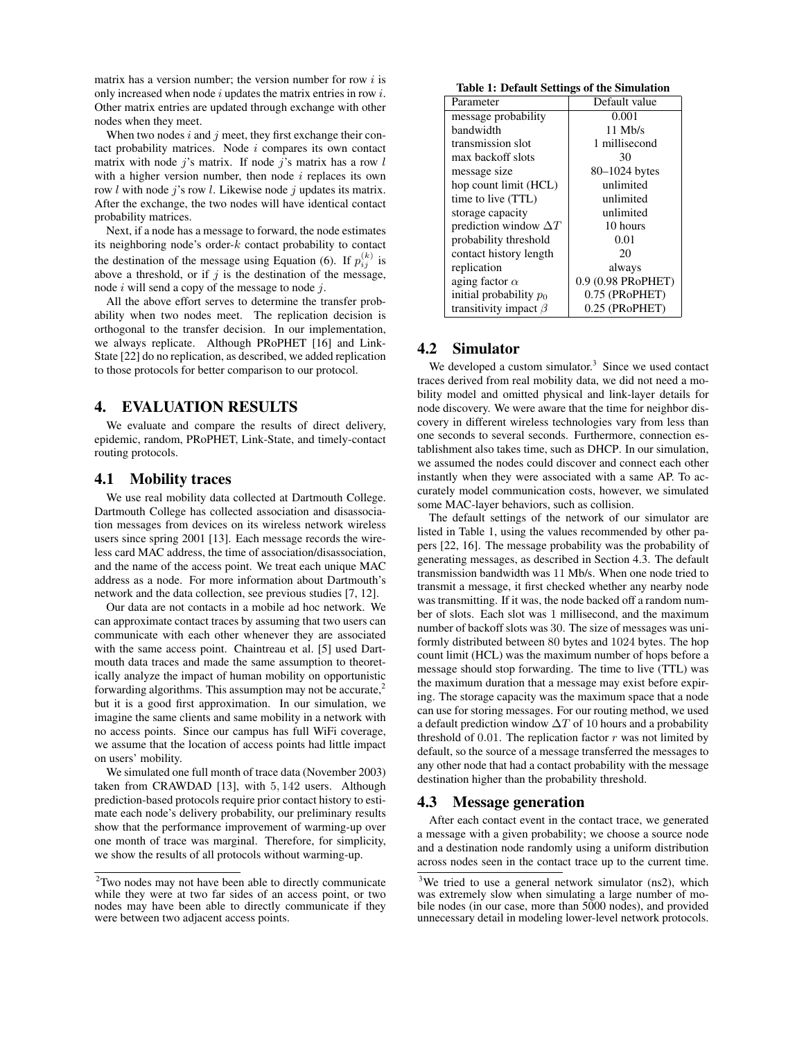matrix has a version number; the version number for row  $i$  is only increased when node i updates the matrix entries in row i. Other matrix entries are updated through exchange with other nodes when they meet.

When two nodes  $i$  and  $j$  meet, they first exchange their contact probability matrices. Node  $i$  compares its own contact matrix with node j's matrix. If node j's matrix has a row  $l$ with a higher version number, then node  $i$  replaces its own row  $l$  with node  $j$ 's row  $l$ . Likewise node  $j$  updates its matrix. After the exchange, the two nodes will have identical contact probability matrices.

Next, if a node has a message to forward, the node estimates its neighboring node's order-k contact probability to contact the destination of the message using Equation [\(6\)](#page-2-2). If  $p_{ij}^{(k)}$  is above a threshold, or if  $j$  is the destination of the message, node  $i$  will send a copy of the message to node  $j$ .

All the above effort serves to determine the transfer probability when two nodes meet. The replication decision is orthogonal to the transfer decision. In our implementation, we always replicate. Although PRoPHET [\[16\]](#page-7-15) and Link-State [\[22\]](#page-7-14) do no replication, as described, we added replication to those protocols for better comparison to our protocol.

## 4. EVALUATION RESULTS

We evaluate and compare the results of direct delivery, epidemic, random, PRoPHET, Link-State, and timely-contact routing protocols.

## 4.1 Mobility traces

We use real mobility data collected at Dartmouth College. Dartmouth College has collected association and disassociation messages from devices on its wireless network wireless users since spring 2001 [\[13\]](#page-7-17). Each message records the wireless card MAC address, the time of association/disassociation, and the name of the access point. We treat each unique MAC address as a node. For more information about Dartmouth's network and the data collection, see previous studies [\[7,](#page-7-18) [12\]](#page-7-19).

Our data are not contacts in a mobile ad hoc network. We can approximate contact traces by assuming that two users can communicate with each other whenever they are associated with the same access point. Chaintreau et al. [\[5\]](#page-7-13) used Dartmouth data traces and made the same assumption to theoretically analyze the impact of human mobility on opportunistic forwarding algorithms. This assumption may not be accurate, $2$ but it is a good first approximation. In our simulation, we imagine the same clients and same mobility in a network with no access points. Since our campus has full WiFi coverage, we assume that the location of access points had little impact on users' mobility.

We simulated one full month of trace data (November 2003) taken from CRAWDAD [\[13\]](#page-7-17), with 5, 142 users. Although prediction-based protocols require prior contact history to estimate each node's delivery probability, our preliminary results show that the performance improvement of warming-up over one month of trace was marginal. Therefore, for simplicity, we show the results of all protocols without warming-up.

<span id="page-3-2"></span>

| Table 1: Default Settings of the Simulation |  |  |  |  |  |
|---------------------------------------------|--|--|--|--|--|
|---------------------------------------------|--|--|--|--|--|

| asic 1. Bename Semings of    |                    |  |  |  |
|------------------------------|--------------------|--|--|--|
| Parameter                    | Default value      |  |  |  |
| message probability          | 0.001              |  |  |  |
| bandwidth                    | $11$ Mb/s          |  |  |  |
| transmission slot            | 1 millisecond      |  |  |  |
| max backoff slots            | 30                 |  |  |  |
| message size                 | 80-1024 bytes      |  |  |  |
| hop count limit (HCL)        | unlimited          |  |  |  |
| time to live (TTL)           | unlimited          |  |  |  |
| storage capacity             | unlimited          |  |  |  |
| prediction window $\Delta T$ | 10 hours           |  |  |  |
| probability threshold        | 0.01               |  |  |  |
| contact history length       | 20                 |  |  |  |
| replication                  | always             |  |  |  |
| aging factor $\alpha$        | 0.9 (0.98 PRoPHET) |  |  |  |
| initial probability $p_0$    | 0.75 (PRoPHET)     |  |  |  |
| transitivity impact $\beta$  | 0.25 (PRoPHET)     |  |  |  |

# 4.2 Simulator

We developed a custom simulator. $3$  Since we used contact traces derived from real mobility data, we did not need a mobility model and omitted physical and link-layer details for node discovery. We were aware that the time for neighbor discovery in different wireless technologies vary from less than one seconds to several seconds. Furthermore, connection establishment also takes time, such as DHCP. In our simulation, we assumed the nodes could discover and connect each other instantly when they were associated with a same AP. To accurately model communication costs, however, we simulated some MAC-layer behaviors, such as collision.

The default settings of the network of our simulator are listed in Table [1,](#page-3-2) using the values recommended by other papers [\[22,](#page-7-14) [16\]](#page-7-15). The message probability was the probability of generating messages, as described in Section [4.3.](#page-3-3) The default transmission bandwidth was 11 Mb/s. When one node tried to transmit a message, it first checked whether any nearby node was transmitting. If it was, the node backed off a random number of slots. Each slot was 1 millisecond, and the maximum number of backoff slots was 30. The size of messages was uniformly distributed between 80 bytes and 1024 bytes. The hop count limit (HCL) was the maximum number of hops before a message should stop forwarding. The time to live (TTL) was the maximum duration that a message may exist before expiring. The storage capacity was the maximum space that a node can use for storing messages. For our routing method, we used a default prediction window  $\Delta T$  of 10 hours and a probability threshold of  $0.01$ . The replication factor  $r$  was not limited by default, so the source of a message transferred the messages to any other node that had a contact probability with the message destination higher than the probability threshold.

#### <span id="page-3-3"></span>4.3 Message generation

After each contact event in the contact trace, we generated a message with a given probability; we choose a source node and a destination node randomly using a uniform distribution across nodes seen in the contact trace up to the current time.

<span id="page-3-0"></span><sup>2</sup>Two nodes may not have been able to directly communicate while they were at two far sides of an access point, or two nodes may have been able to directly communicate if they were between two adjacent access points.

<span id="page-3-1"></span> $3$ We tried to use a general network simulator (ns2), which was extremely slow when simulating a large number of mobile nodes (in our case, more than 5000 nodes), and provided unnecessary detail in modeling lower-level network protocols.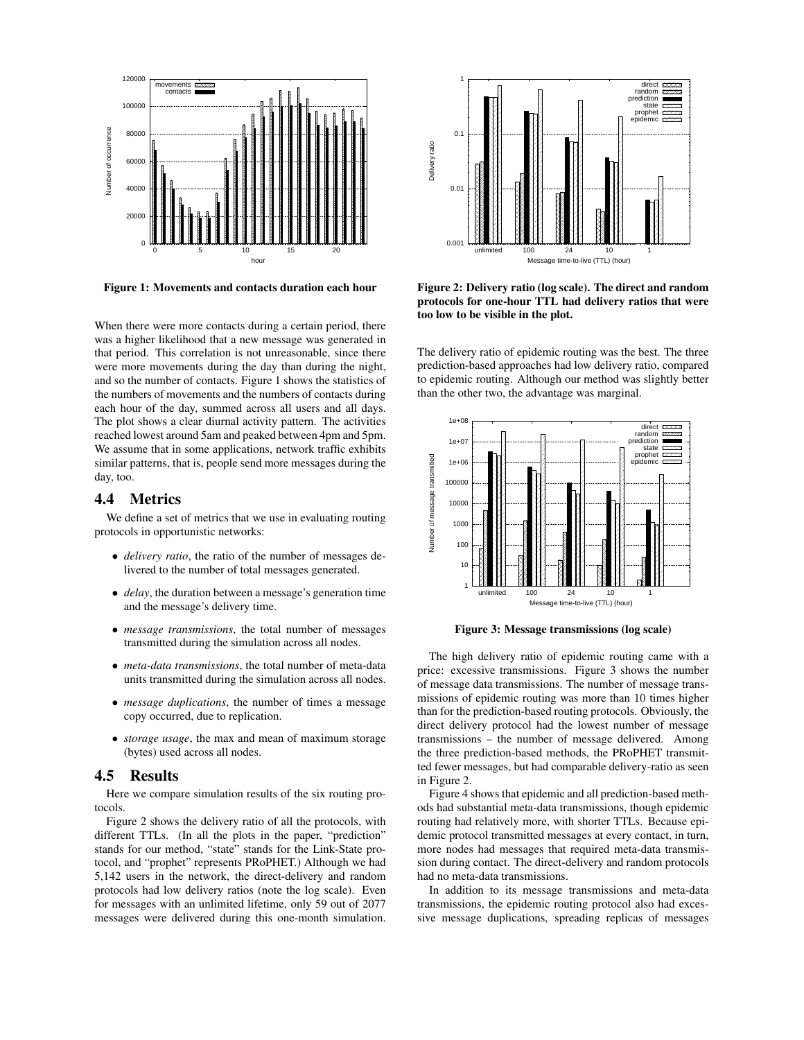

<span id="page-4-0"></span>Figure 1: Movements and contacts duration each hour

When there were more contacts during a certain period, there was a higher likelihood that a new message was generated in that period. This correlation is not unreasonable, since there were more movements during the day than during the night, and so the number of contacts. Figure [1](#page-4-0) shows the statistics of the numbers of movements and the numbers of contacts during each hour of the day, summed across all users and all days. The plot shows a clear diurnal activity pattern. The activities reached lowest around 5am and peaked between 4pm and 5pm. We assume that in some applications, network traffic exhibits similar patterns, that is, people send more messages during the day, too.

#### 4.4 Metrics

We define a set of metrics that we use in evaluating routing protocols in opportunistic networks:

- *delivery ratio*, the ratio of the number of messages delivered to the number of total messages generated.
- *delay*, the duration between a message's generation time and the message's delivery time.
- *message transmissions*, the total number of messages transmitted during the simulation across all nodes.
- *meta-data transmissions*, the total number of meta-data units transmitted during the simulation across all nodes.
- *message duplications*, the number of times a message copy occurred, due to replication.
- *storage usage*, the max and mean of maximum storage (bytes) used across all nodes.

#### 4.5 Results

Here we compare simulation results of the six routing protocols.

Figure [2](#page-4-1) shows the delivery ratio of all the protocols, with different TTLs. (In all the plots in the paper, "prediction" stands for our method, "state" stands for the Link-State protocol, and "prophet" represents PRoPHET.) Although we had 5,142 users in the network, the direct-delivery and random protocols had low delivery ratios (note the log scale). Even for messages with an unlimited lifetime, only 59 out of 2077 messages were delivered during this one-month simulation.



<span id="page-4-1"></span>Figure 2: Delivery ratio (log scale). The direct and random protocols for one-hour TTL had delivery ratios that were too low to be visible in the plot.

The delivery ratio of epidemic routing was the best. The three prediction-based approaches had low delivery ratio, compared to epidemic routing. Although our method was slightly better than the other two, the advantage was marginal.



<span id="page-4-2"></span>Figure 3: Message transmissions (log scale)

The high delivery ratio of epidemic routing came with a price: excessive transmissions. Figure [3](#page-4-2) shows the number of message data transmissions. The number of message transmissions of epidemic routing was more than 10 times higher than for the prediction-based routing protocols. Obviously, the direct delivery protocol had the lowest number of message transmissions – the number of message delivered. Among the three prediction-based methods, the PRoPHET transmitted fewer messages, but had comparable delivery-ratio as seen in Figure [2.](#page-4-1)

Figure [4](#page-5-0) shows that epidemic and all prediction-based methods had substantial meta-data transmissions, though epidemic routing had relatively more, with shorter TTLs. Because epidemic protocol transmitted messages at every contact, in turn, more nodes had messages that required meta-data transmission during contact. The direct-delivery and random protocols had no meta-data transmissions.

In addition to its message transmissions and meta-data transmissions, the epidemic routing protocol also had excessive message duplications, spreading replicas of messages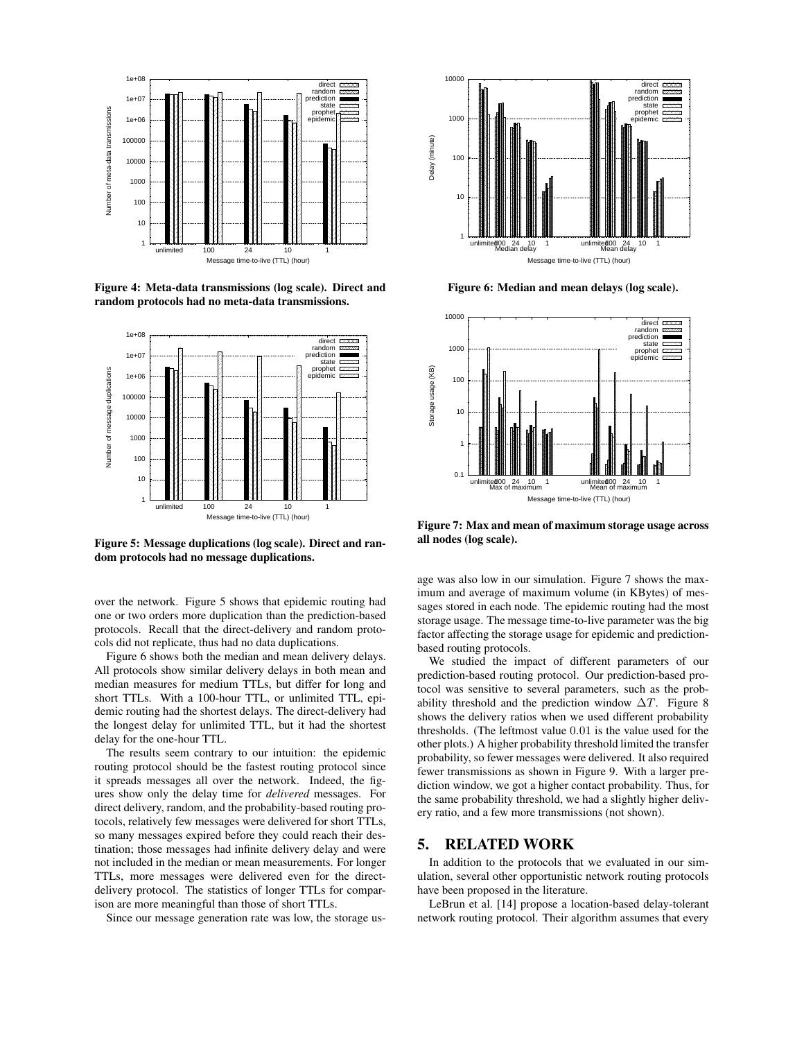

<span id="page-5-0"></span>Figure 4: Meta-data transmissions (log scale). Direct and random protocols had no meta-data transmissions.



<span id="page-5-1"></span>Figure 5: Message duplications (log scale). Direct and random protocols had no message duplications.

over the network. Figure [5](#page-5-1) shows that epidemic routing had one or two orders more duplication than the prediction-based protocols. Recall that the direct-delivery and random protocols did not replicate, thus had no data duplications.

Figure [6](#page-5-2) shows both the median and mean delivery delays. All protocols show similar delivery delays in both mean and median measures for medium TTLs, but differ for long and short TTLs. With a 100-hour TTL, or unlimited TTL, epidemic routing had the shortest delays. The direct-delivery had the longest delay for unlimited TTL, but it had the shortest delay for the one-hour TTL.

The results seem contrary to our intuition: the epidemic routing protocol should be the fastest routing protocol since it spreads messages all over the network. Indeed, the figures show only the delay time for *delivered* messages. For direct delivery, random, and the probability-based routing protocols, relatively few messages were delivered for short TTLs, so many messages expired before they could reach their destination; those messages had infinite delivery delay and were not included in the median or mean measurements. For longer TTLs, more messages were delivered even for the directdelivery protocol. The statistics of longer TTLs for comparison are more meaningful than those of short TTLs.

Since our message generation rate was low, the storage us-



<span id="page-5-2"></span>Figure 6: Median and mean delays (log scale).



<span id="page-5-3"></span>Figure 7: Max and mean of maximum storage usage across all nodes (log scale).

age was also low in our simulation. Figure [7](#page-5-3) shows the maximum and average of maximum volume (in KBytes) of messages stored in each node. The epidemic routing had the most storage usage. The message time-to-live parameter was the big factor affecting the storage usage for epidemic and predictionbased routing protocols.

We studied the impact of different parameters of our prediction-based routing protocol. Our prediction-based protocol was sensitive to several parameters, such as the probability threshold and the prediction window  $\Delta T$ . Figure [8](#page-6-0) shows the delivery ratios when we used different probability thresholds. (The leftmost value 0.01 is the value used for the other plots.) A higher probability threshold limited the transfer probability, so fewer messages were delivered. It also required fewer transmissions as shown in Figure [9.](#page-6-1) With a larger prediction window, we got a higher contact probability. Thus, for the same probability threshold, we had a slightly higher delivery ratio, and a few more transmissions (not shown).

# 5. RELATED WORK

In addition to the protocols that we evaluated in our simulation, several other opportunistic network routing protocols have been proposed in the literature.

LeBrun et al. [\[14\]](#page-7-6) propose a location-based delay-tolerant network routing protocol. Their algorithm assumes that every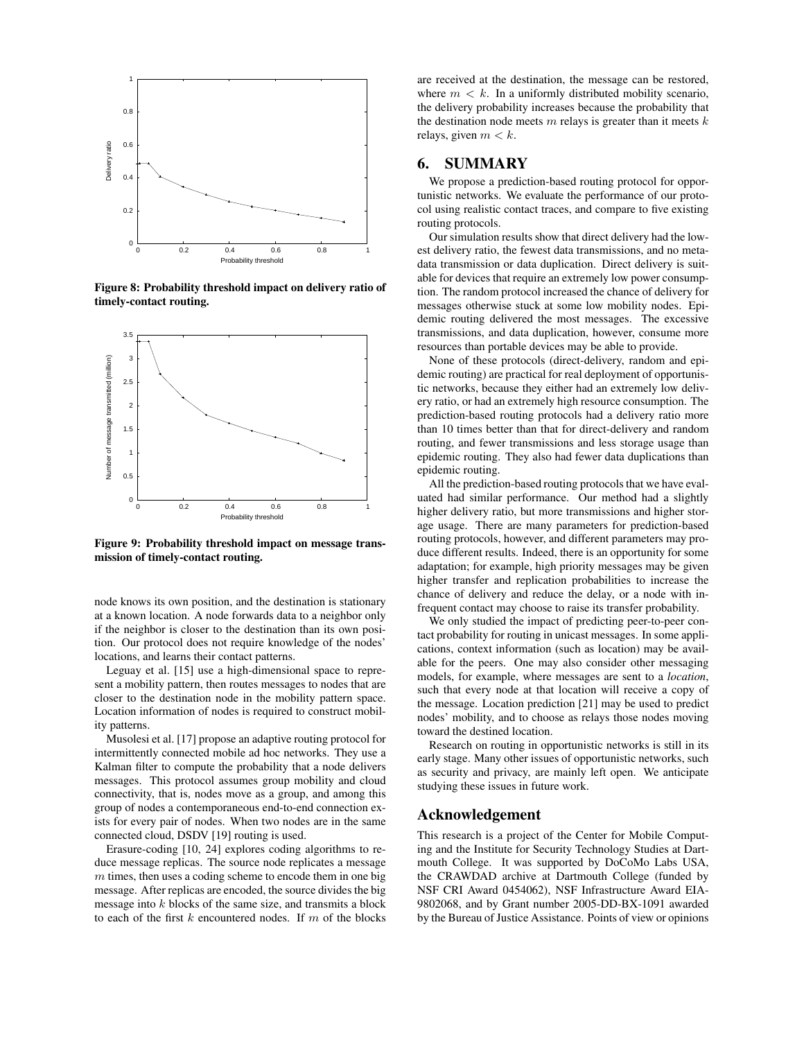

<span id="page-6-0"></span>Figure 8: Probability threshold impact on delivery ratio of timely-contact routing.



<span id="page-6-1"></span>Figure 9: Probability threshold impact on message transmission of timely-contact routing.

node knows its own position, and the destination is stationary at a known location. A node forwards data to a neighbor only if the neighbor is closer to the destination than its own position. Our protocol does not require knowledge of the nodes' locations, and learns their contact patterns.

Leguay et al. [\[15\]](#page-7-20) use a high-dimensional space to represent a mobility pattern, then routes messages to nodes that are closer to the destination node in the mobility pattern space. Location information of nodes is required to construct mobility patterns.

Musolesi et al. [\[17\]](#page-7-21) propose an adaptive routing protocol for intermittently connected mobile ad hoc networks. They use a Kalman filter to compute the probability that a node delivers messages. This protocol assumes group mobility and cloud connectivity, that is, nodes move as a group, and among this group of nodes a contemporaneous end-to-end connection exists for every pair of nodes. When two nodes are in the same connected cloud, DSDV [\[19\]](#page-7-10) routing is used.

Erasure-coding [\[10,](#page-7-22) [24\]](#page-7-23) explores coding algorithms to reduce message replicas. The source node replicates a message  $m$  times, then uses a coding scheme to encode them in one big message. After replicas are encoded, the source divides the big message into k blocks of the same size, and transmits a block to each of the first  $k$  encountered nodes. If  $m$  of the blocks

are received at the destination, the message can be restored, where  $m < k$ . In a uniformly distributed mobility scenario, the delivery probability increases because the probability that the destination node meets  $m$  relays is greater than it meets  $k$ relays, given  $m < k$ .

## 6. SUMMARY

We propose a prediction-based routing protocol for opportunistic networks. We evaluate the performance of our protocol using realistic contact traces, and compare to five existing routing protocols.

Our simulation results show that direct delivery had the lowest delivery ratio, the fewest data transmissions, and no metadata transmission or data duplication. Direct delivery is suitable for devices that require an extremely low power consumption. The random protocol increased the chance of delivery for messages otherwise stuck at some low mobility nodes. Epidemic routing delivered the most messages. The excessive transmissions, and data duplication, however, consume more resources than portable devices may be able to provide.

None of these protocols (direct-delivery, random and epidemic routing) are practical for real deployment of opportunistic networks, because they either had an extremely low delivery ratio, or had an extremely high resource consumption. The prediction-based routing protocols had a delivery ratio more than 10 times better than that for direct-delivery and random routing, and fewer transmissions and less storage usage than epidemic routing. They also had fewer data duplications than epidemic routing.

All the prediction-based routing protocols that we have evaluated had similar performance. Our method had a slightly higher delivery ratio, but more transmissions and higher storage usage. There are many parameters for prediction-based routing protocols, however, and different parameters may produce different results. Indeed, there is an opportunity for some adaptation; for example, high priority messages may be given higher transfer and replication probabilities to increase the chance of delivery and reduce the delay, or a node with infrequent contact may choose to raise its transfer probability.

We only studied the impact of predicting peer-to-peer contact probability for routing in unicast messages. In some applications, context information (such as location) may be available for the peers. One may also consider other messaging models, for example, where messages are sent to a *location*, such that every node at that location will receive a copy of the message. Location prediction [\[21\]](#page-7-24) may be used to predict nodes' mobility, and to choose as relays those nodes moving toward the destined location.

Research on routing in opportunistic networks is still in its early stage. Many other issues of opportunistic networks, such as security and privacy, are mainly left open. We anticipate studying these issues in future work.

# Acknowledgement

This research is a project of the Center for Mobile Computing and the Institute for Security Technology Studies at Dartmouth College. It was supported by DoCoMo Labs USA, the CRAWDAD archive at Dartmouth College (funded by NSF CRI Award 0454062), NSF Infrastructure Award EIA-9802068, and by Grant number 2005-DD-BX-1091 awarded by the Bureau of Justice Assistance. Points of view or opinions